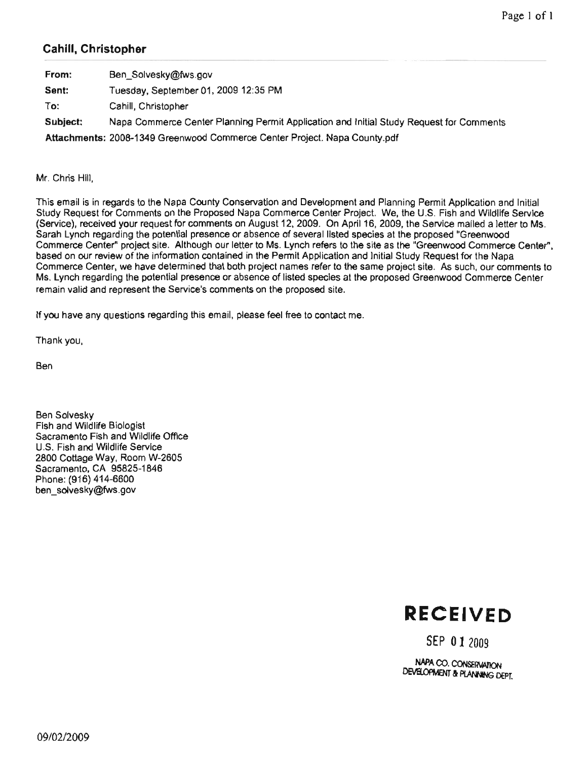# Cahill, Christopher

| From:    | Ben Solvesky@fws.gov                                                                    |
|----------|-----------------------------------------------------------------------------------------|
| Sent:    | Tuesday, September 01, 2009 12:35 PM                                                    |
| To:      | Cahill, Christopher                                                                     |
| Subject: | Napa Commerce Center Planning Permit Application and Initial Study Request for Comments |
|          | Attachments: 2008-1349 Greenwood Commerce Center Project. Napa County.pdf               |

Mr. Chris Hill.

This email is in regards to the Napa County Conservation and Development and Planning Permit Application and Initial bend<br>bend<br>bend<br>coverwater Immerce Center Project. We, the U.S. Fish and Wildlife Service<br>12, 2009. On April 16, 2009, the Service mailed a letter to Ms.<br>1 of several listed species at the proposed "Greenwood"<br>1 ynch refers to the site as the "Green ne<br>2,<br>Sacram<br>Mi ce Center Project. We, the U.S. Fish and W<br>!009. On April 16, 2009, the Service mailed en<br>II<br>iC dl<br>| ]<br>!O Se<br>r<br>e ( Figure 11 Isted species at the proposed "Green<br>refers to the site as the "Greenwood Com<br>pplication and Initial Study Request for the everal listed species at the proposed "Greenwood<br>ich refers to the site as the "Greenwood Commerce Center",<br>: Application and Initial Study Request for the Napa<br>es refer to the same project site. As such, our comments to . Lynch refers to the site as the "Greenwood Commer<br>ermit Application and Initial Study Request for the Nap mit Application and Initial Study Request for<br>mes refer to the same project site. As such<br>sted species at the proposed Greenwood Co ls<br>ei ne Napa<br>our com<mark>n</mark><br>nmerce C ommer<br>ce Cen<br> n<br>|<br>|<br>| es refer to the same project site. As<br>id species at the proposed Greenwo<br>posed site. d site<br>anter

or<br>Service Service Room rd<br>'e

Thank you,

**Ben** 

**Ben Solvesky** Fish and Wildlife Biologist Sacramento Fish and Wildlife Office U.S. Fish and Wildlife Service 2800 Cottage Way, Room W-2605 Sacramento, CA 95825-1846 Phone: (916) 414-6600 ben\_solvesky@fws.gov



SEP 01 2009

DEVELOPMENT & PLANNING DEPT. NAPA CO. CONSERVATION  $\sum_{i=1}^{n}$ )9<br>Mai<br>M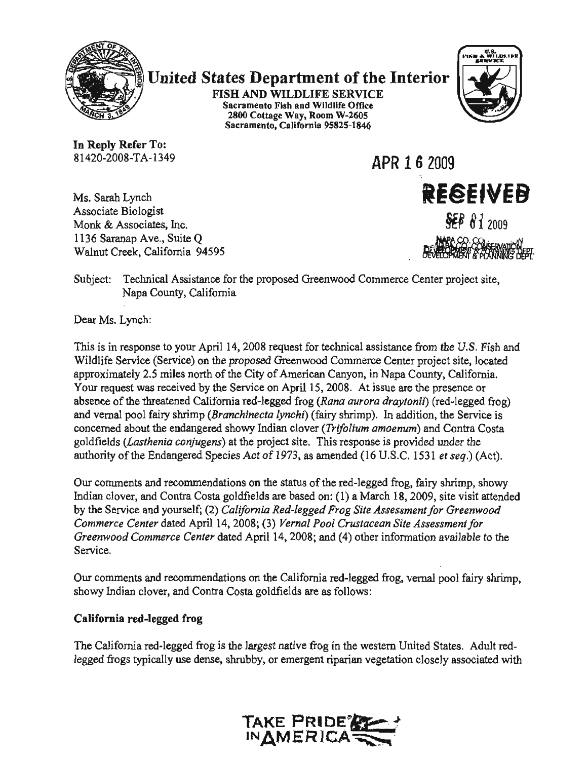

# **United States Department of the Interior**

FISH AND WILDLIFE SERVICE Sacramento Fish and Wildlife Office 2800 Cottage Way, Room W-2605 Sacramento, California 95825-1846



 $\ddot{\cdot}$ 1136

Wa<br>Wa

In Reply Refer To: 81420-2008-TA-1349

Monk & Associates, Inc. 1136 Saranap Ave., Suite Q

Ms. Sarah Lynch Associate Biologist APR 1 6 2009 REGEIVEB **SEP 81 2009** 

Dear

This

Bevelower of **MEVIEW**<br>Center project s .<br>rce C m<br>. or<br>C  $\overline{c}$ ver<br>The Greenwoo c<br>co  $\alpha$  $\overline{\phantom{a}}$ Service r t<br>L S<br>fn<br>m nut Creek, California<br>sety - Tacknical Arc 5'<br>nc ss<br>y, Napa County, California , (<br>ch<br>ca  $\ddot{\phantom{a}}$ 

Dear Ms. Lynch:

J.S. Fish and<br>te located ת<br>קו  $\frac{F}{T}$ <br>or  $\frac{F}{T}$ of the threatened California red-legged frog (Rana aurora draytonii) (red-legged<br>not fairy shrim (Branchinecta lunchi) (fairy shrimn). In addition, the Service ic<br>~ response is provided under the ded (16 U.S.C. 1531 *et seq.*) (A C,<br>if<br>El to by your April 14, 2008 request for definited assistance<br>ervice) on the proposed Greenwood Commerce Center<br>riles north of the City of American Canyon, in Napa C<br>ceived by the Service on April 15, 2008. At issue are by imately 2.5 miles north of the City of American Canyon, in Napa Correquest was received by the Service on April 15, 2008. At issue are the threatened California red-legged frog (Rana aurora drayton all poor larry shimp (*Brahtmetta tylem*) (tany shimp). In addited about the endangered showy Indian clover (*Trifolium amoenum*) ds (*Lasthenia conjugens*) at the project site. This response is provided y of the Endangere (Service) conserved Contra your April 14, 2008 request for technical assistance<br>(Service) on the proposed Greenwood Commerce Central<br>of the City of American Contra in Napa e proposed Greenwood Commerce Cen<br>f the City of American Canyon, in Napa<br>le Service on April 15, 2008. At issue a (*Rana aurora arayı*<br>fairy shrimp). In ad<br>r (*Trifolium amoeni*<br>This resnonse is nr  $\boldsymbol{\mathcal{S}}$  or  $\boldsymbol{\mathcal{S}}$ th<br>threatened<br>the n<br>A<br>Ir )8<br>20<br>foi<br>res eci<br>| C<br>20 Indian about the examples one of the project site. This<br>Inity of the Endangered Species Act of 1973, as amen  $\mathbb{L}$  $T$ <br>ar Endanger<br>Endanger<br>Endangered 1973, as<br>. recommendations<br>recommendations<br>recommendations<br>recommendations le<br>*cto*<br>m exies Act of<br>extions on t ed<br>'ni<br>A ace of the threatened California<br>vernal pool fairy shrimp (*Brancl*<br>erned about the endangered sho  $\frac{1}{2}$ ron<br>icu<br>s<br>ur mately 2.5 mil<br>quest was rece de about the c<br>ds (*Lasthenia*<br>y of the Endar use use experience<br>use imately s.<br>in<br>e S

sh<br>a<br>r<br>r : t<br>v for from the Endangered Species Act of 1973, as amended (10 0.3.C. 1)<br>comments and recommendations on the status of the red-legged frog, for clover and Contra Costa goldfields are based on: (1) a March 18-20 2(<br>tel<br>A ia<br>ei  $\frac{1}{8}$ ss:<br>Sit<br>dr ).;<br>d<br>h ire based on: (1) a March<br>Red-legged Frog Site Asse<br>Vernal Pool Crustacean<br>14, 2008: and (4) other in: hover, and Conflictions on the states of the red regge<br>lover, and Contra Costa goldfields are based on: (1) a Mar al Pool Crustace<br>08; and (4) other sz<br>D response<br>Set<br>Set se<br>88<br>al ourself; (2) *California Re*<br>ated April 14, 2008; (3) *V*<br>*rce Center* dated April 14 e Service and yourself; (2) California<br>merce Center dated April 14, 2008; (3 ce Center dated April 14, 2008; ( Ac<br>D<br>fie  $\frac{2C}{c}$ ge<br>Or<br>fra  $\alpha$ ver<br>ice<br>co:

ed frog, egged<br>ws: aments and recommendations on the California red-1531 redian clover, and Contra Costa goldfields are as follow ommendations on the California re<br>nd Contra Costa goldfields are as f o:<br>a os<br>. ati<br>a (

# ii<mark>a red-le</mark>gged fi y<br>io

the western United States. Adu<br>trian vegetation closely associat site in the state. The eri<br>eta presence<br>Presence e v from a rea-legged frog is the largest native frog in the v<br>rogs typically use dense, shrubby, or emergent riparian og ir frog<br>ged frog is the largest native:<br>. ar<br>bb s i  $\ddot{x}$ )<br>d<br>d

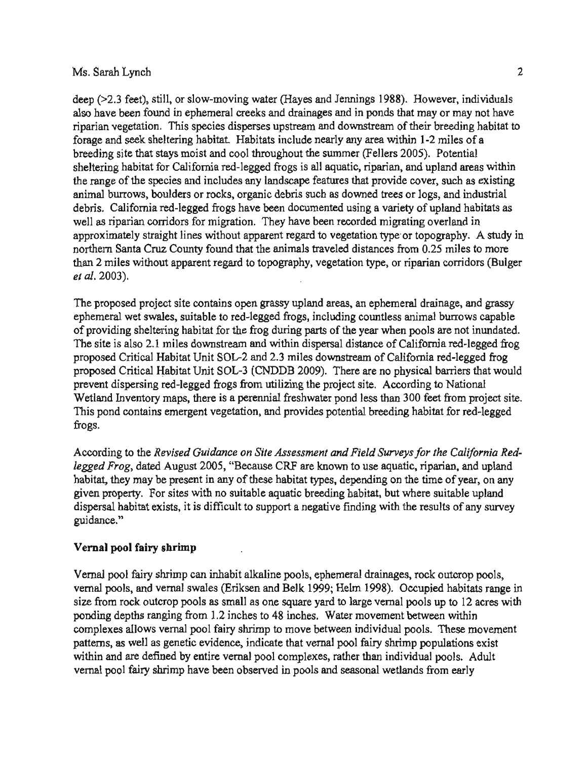deep (>2.3 feet), still, or slow-moving water (Hayes and Jennings 1988). However, individuals also have been found in ephemeral creeks and drainages and in ponds that may or may not have riparian vegetation. This species disperses upstream and downstream of their breeding habitat to forage and seek sheltering habitat. Habitats include nearly any area within 1-2 miles of a breeding site that stays moist and cool throughout the summer (Fellers 2005). Potential sheltering habitat for California red-legged frogs is all aquatic, riparian, and upland areas within the range of the species and includes any landscape features that provide cover, such as existing animal burrows, boulders or rocks, organic debris such as downed trees or logs, and industrial debris. California red-legged frogs have been documented using a variety of upland habitats as well as riparian corridors for migration. They have been recorded migrating overland in approximately straight lines without apparent regard to vegetation type or topography. A study in thern Santa Cruz County found that the animals traveled distances from 2 miles without apparent regard to topography, vegetation type, or rid. 2003). S<br>ik<br>)3 uz County found that the animals traveled distances from 0.25 miles to more than that the original corridors (Bu<br>with annorent regard to topography, vegetation type, or ringrian corridors (Bu  $\frac{5}{4}$ e northern  $\ddot{\phantom{a}}$ parial<br>. .  $\overline{\mathbf{a}}$ from site ah.  $20$ 

apparent y<br>y ramage, and grassy<br>nal burrows capable<br>ls are not inundated<br>prnia red-legged frog og<br>;<br>ul utilizing the project site. According to National<br>hial freshwater pond less than 300 feet from project site<br>and provides potential breeding habitat for red-legged than 300 feet from project site<br>ding habitat for red-legged miles proposed we also Critical Critical Critical Critical Critical Critical Critical Critical Served West and Theories and Critical Divinor nexts of the year when pools are not inundate a-legged<br>legged fro<br>iers that w to ie<br>at<br>pn posed Critical Habitat Unit SOL-2 and 2.3 miles downstream of California recorded Critical Habitat Unit SOL-3 (CNDDB 2009). There are no physical bar<br>went dispersing red-legged frogs from utilizing the project site. Accord 2.1 Site contains open grassy upland areas, an ephemeral of<br>2.1 suitable to red-legged frogs, including countless animals. sheltering habitat for the frog during parts of the year when poolso 2.1 miles downstream and within dispersal distance of Californitical Habitat Unit SOL-2 and 2.3 miles downstream of Californitical sic<br>diu<br>ha red-legged extended values<br>1.3 miles downstream of<br>1.000 DDB 2009). There are al bro<br>... ect<br>on<br>:nt OC<br>th<br>... and provided the suitable suitable. 2005, ing red-legged frogs from utilizing "Because al wet swales, suitable to red-legged is<br>ling sheltering habitat for the frog dure<br>is also 2.1 miles downstream and wit property.<br>the contains open grade<br>that is red-leagues. mstream an<br>it SOL-2 ar I Critical Habitat Unit SOL-3 (C<br>dispersing red-legged frogs from<br>Inventory maps, there is a pere tory maps, there is a pere<br>ains emergent vegetation alkaline and 48 to 2012<br>gs.<br>cording to the *Revised* proje  $\frac{H}{H}$ e proposed<br>hemeral we shrimp  $\frac{1}{10}$ <br>ite is<br>sed  $\frac{1}{10}$ le<br>vi<br>te nd<br>Di pr<br>e s v<br>tl is<br>gs

ec<br>1<br>.. the area of the contracted areas.<br>the project point of the project point of the results of any survey a<br>lai<br>lai uitable upland<br>Its of any surv .<br>Ce n,<br>fy r *the*<br>iparie<br>ime c these habitat types, depending on the time<br>able aquatic breeding habitat, but where<br>o support a negative finding with the res eys fa<br>atic. 1 ged Frog, dated August 2005, "Because CRF are known to use aquatic<br>bitat, they may be present in any of these habitat types, depending on the<br>ven property. For sites with no suitable aquatic breeding habitat, but wh n<br>It v<br>tl ur<br>... d<br>se er<br>un<br>bi  $\overline{a}$ \* 1<br>n t<br>. ጌ tic breeding h<br>a negative fir m<br>re<br>bi n Site Asses<br>Cause CRF Site As<br>ause Cl depending pools are *nevised*<br>rog, dated Augus<br>hey may be prese rding to the *Revised*<br>d Frog, dated Augus<br>at, they may be prese, property. For sites<br>rsal habitat exists, it<br>nce." en property. For supersal habitat exists<br>dance." sal h<br>nce."<br> ن<br>ت

### h<mark>rim</mark><br>timp ve<br>. ni:<br>... indi<br>indi i<br>al po

נ<br>ו from rainages, rock outcrop pools,<br>1998). Occupied habitats range is<br>permal pools up to 12 acres wit I swales (Eriksen and Belk 1999; Helm 1998). Occupied habitats range is<br>pools as small as one square yard to large vernal pools up to 12 acres wit<br>from 1.2 inches to 48 inches. Water movement between within<br>al pool fairy s veen within<br>s. These movement<br>opulations exist or m<br>it  $\ddot{\phantom{0}}$  $\frac{1}{2}$ eventual pool tarry shirmp to move between mutudual pools. These spenetic evidence, indicate that vernal pool fairy shrimp population idual pools<br>ids from <mark>e</mark>s<br> when breeding and the breeding and the breeding and the breeding and the breeding and the breeding and the breeding and the breeding and the breeding and the breeding and the breeding and the breeding and the breeding and ing depths ranging from 1.2 inches to 48 inches. Water movement between u<br>di<br>fr T<br>Cl<br>OC<br>et red-individual poo<br>cool fairy shrimp<br>ther than individus<br>easonal wetlands es<br>O<br>Li rent<sup>1</sup><br>lual p<br>indi From Contract the Contract of the Contract of the Contract of the Contract of the Contract of the Contract of the Contract of the Contract of the Contract of the Contract of the Contract of the Contract of the Contract of S incress. Water move<br>to move between individe<br>that vernal pool fairy than ا<br>1 أ  $\frac{1}{2}$ e<br>le ed by entire vernal pool com<br>imp have been observed in p I fairy shrimp can inhabit alkaline j<br>s, and vernal swales (Eriksen and I<br>ock outcrop pools as small as one s on us or<br>es to<br>rimp ns, as well as genetic evidence, indica<br>hand are defined by entire vernal pool<br>l pool fairy shrimp have been observe the shrimp can inhabit alk g f<br>al<br>ct hangin<br>ws verreli<br>il as ger w.<br>. otl<br>all w<br>ar<br>fa po<br>n 1<br>es i<br>individual<br>individual re<br>n e<br>M m<br><del>tt</del>e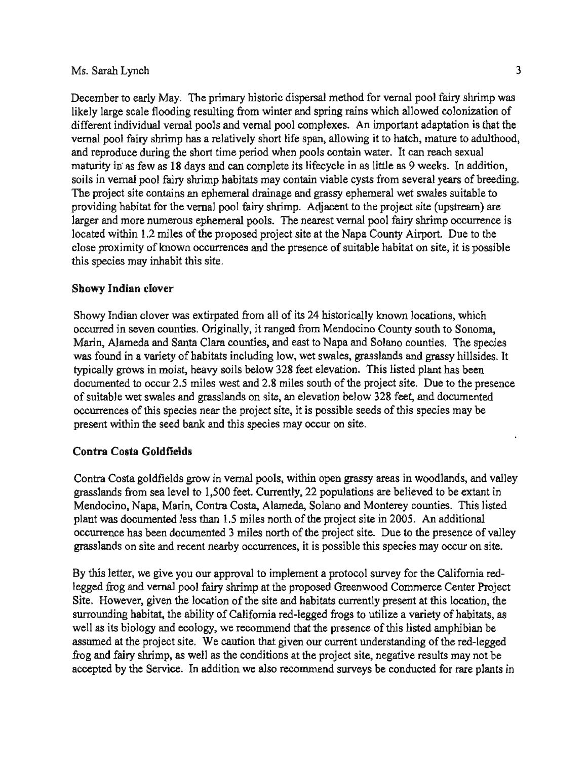December to early May. The primary historic dispersal method for vernal pool fairy shrimp was likely large scale flooding resulting from winter and spring rains which allowed colonization of different individual vernal pools and vernal pool complexes. An important adaptation is that the vernal pool fairy shrimp has a relatively short life span, allowing it to hatch, mature to adulthood. and reproduce during the short time period when pools contain water. It can reach sexual maturity in as few as 18 days and can complete its lifecycle in as little as 9 weeks. In addition, soils in vernal pool fairy shrimp habitats may contain viable cysts from several years of breeding. The project site contains an ephemeral drainage and grassy ephemeral wet swales suitable to providing habitat for the vernal pool fairy shrimp. Adjacent to the project site (upstream) are larger and more numerous ephemeral pools. The nearest vernal pool fairy shrimp occurrence is located within 1.2 miles of the proposed project site at the Napa County Airport. Due to the In occurrences and the presence of suitable habitat on site, it is possible this site.  $\ddot{\phantom{0}}$ se proximity of known<br>s species may inhabit the y c<br>ly<br>cl ur<br>ite en<br>C Mendocino, occurrences documented

# wer<br>..... o<mark>wy India</mark>r

e<br>C and ties. Originally, it ranged from Mendocino County south to Sonoma,<br>unta Clara counties, and east to Napa and Solano counties. The species<br>of habitats including low, wet swales, grasslands and grassy hillsides. It<br>theory so this site. Indian I of its 24 historically known locations, whistorical process and solar to Sone<br>In order and Solar solar solar states. The state was said the good and solar section is the state of the good is the state of the good is the a and Solano counties.<br>s, grasslands and grass<br>ion. This listed plant l th<br>et<br>es ted from all of its 24 historically known locat<br>the insuly it ranged from Mendocino County sout Solisted planet site. Due<br>Solist Steet, and Solist is spected<br>of this spec e<br>a chis s solar elevation below 328<br>ite, it is possible seeds of<br>any occur on site hi<br>oi welow 3<br>le seeds w 328 feet elevation.<br>2.8 miles south of the p<br>site, an elevation belov<br>tt site, it is possible see e.  $\frac{1}{2}$  on si tats including low, wet swale<br>y soils below 328 feet elevan Costa بے<br>or<br>el , Alameda and Santa Clara counties, and<br>level in a variety of habitats including level<br>liverous in moist, heavy soils below 3 to occur 2.5 miles west and 2.8 m<br>wet swales and grasslands on site, a<br>of this species near the project site<br>in the seed bank and this species r y Indian clover was extirpated from a<br>red in seven counties. Originally, it ra<br>1, Alameda and Santa Clara counties, rt<br>Sie meavy sons bear,<br>S miles west and<br>nd grasslands on Contract the share with generate the projecture of this species near the projection. d<br>باا<br>س able wet swales and grasslands<br>
ences of this species near the p<br>
it within the seed bank and this c<br>5 i<br>10<br>2 ar  $\frac{1}{\sqrt{2}}$  was extirp occurrences, mois<br>cur 2<br>rales clo<br>ei  $\text{red}a$ ability grows is<br>ically grows is<br>interested to ob th<br>Cali biology<br>biology<br>the the the theory pund in a<br>Ily grow<br>nented t o<br>ir<br>ta conditions<br>a Service. eu<br>ar

# ie  $\overline{\phantom{a}}$ .<br>.

ey y  $\frac{1}{2}$  is from east in woodlarged to  $\frac{1}{2}$  $\frac{1}{2}$  in woodid exes<br>he<br>called nt<br>Cip<br>21 ands from sea level to 1,500 feet. Currently, 22 populations are believ<br>locino, Napa, Marin, Contra Costa, Alameda, Solano and Monterey co<br>was documented less than 1.5 miles north of the project site in 2005. les north of the project site in 2005.<br>les north of the project site. Due to the<br>commences it is not illustrial appears e to<br>cie<br>cf el<br>tel<br>... this spe fields grow in vernal pools, within open grassy a<br>ea level to 1,500 feet. Currently, 22 populations a<br>, Marin, Contra Costa, Alameda, Solano and Mor *dicua, colario and NO* es<br>on<br>A is ted 3 miles north of the project<br>tearby occurrences, it is possibl ols, within oper  $\begin{bmatrix} 1 & 1 \\ 2 & 3 \\ 3 & 5 \\ 1 & 1 \end{bmatrix}$ Alameda, in verna<br>500 fee rence has been documented 3<br>ands an site and recent nearh costa Goldfields<br>Costa goldfields g<br>de famos dand in,<br>les<br>cu sslands on site and rec<br>this lotter, we give rest d<br>d<br>d<br>d 」 ent<br>er<br>au restance<br>ostangol<br>ls from endocino, Nap<br>int was docum<br>currence has b , í<br>oc<br>ha a ( re<br>nt<br>n

r, we give you our approval to implement a protocol survey for the California red-<br>and vernal pool fairy shrimp at the proposed Greenwood Commerce Center Project<br>ver, given the location of the site and habitats currently p hrimp, as well as the conditions at the project site, negative results may not be<br>Service. In addition we also recommend surveys be conducted for rare plants in  $k$  may  $\infty$ <br> $k$  the Ca p at the proposed Greenwood Commerce C<br>le site and habitats currently present at this<br>common debat the angular of this listed and has the about the about of Cantonna red-regged hogs to utilize a variety<br>s biology and ecology, we recommend that the presence of this listed an sted am<br>ng of th<br>results sent at u<br>a variet g and fairy shrimp, as well as the conditions at the project site, negative repted by the Service. In addition we also recommend surveys be conducted , 1<br>hd<br>nd listed feet, survey<br>International feet, one of the feet of the set of the set of the set of the set of the set of the set of the s sence of the<br>ent understant<br>of site mers presence<br>P o<br>ce<br>ite areas wo<br>re<br>en: di<br>it<br>it the collection of the state<br>ing habitat, the ability of Californis<br>s biology and ecology, we recomment the project site. We caution that I as its biology and ecology, we recomm<br>umed at the project site. We caution that<br>g and fairy shrimp, as well as the conditiented by the Service. In addition we als occi<br>Monte<br>Note  $\frac{1}{2}$  the location of the atom of the atom of the atom of the atom of the atom of the atom of  $\alpha$ . al<br>re<br>C pive you our appi<br>Presented pool fairy sh f<br>we<br>ce al<br>cc<br>cite e<br>Lit<br>L and some single<br>s letter, we<br>define and k frog and v<br>However, g<br>nding habi  $\det$  by the ue<br>ds<br>og s<br>le th<br>ge<br>:. for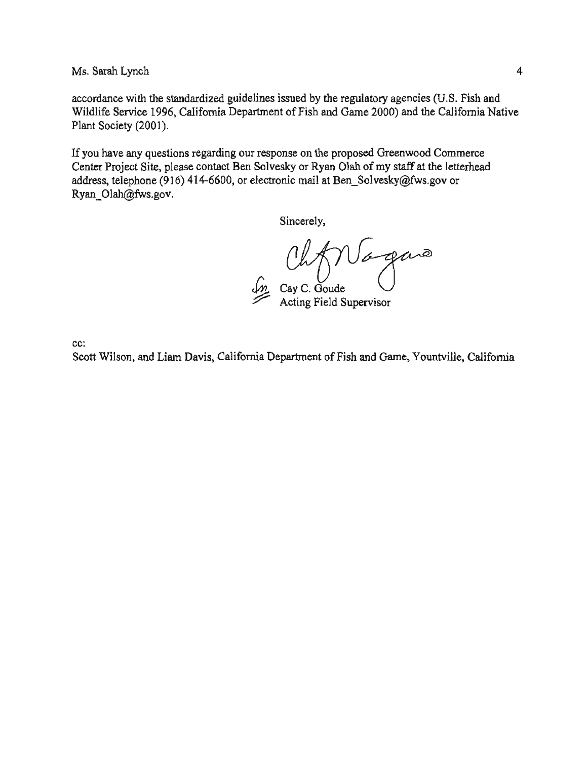accordance with the standardized guidelines issued by the regulatory agencies (U.S. Fish and Wildlife Service 1996, California Department of Fish and Game 2000) and the California Native Plant Society (2001).

If you have any questions regarding our response on the proposed Greenwood Commerce Center Project Site, please contact Ben Solvesky or Ryan Olah of my staff at the letterhead address, telephone (916) 414-6600, or electronic mail at Ben Solvesky@fws.gov or Ryan Olah@fws.gov.

Sincerely,

Oh Magano

cc:

Scott Wilson, and Liam Davis, California Department of Fish and Game, Yountville, California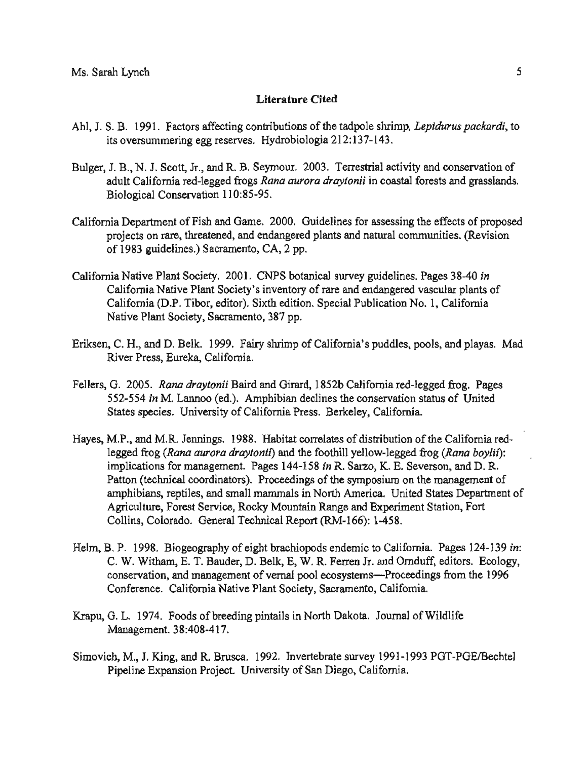## **Literature Cited**

- Ahl. J. S. B. 1991. Factors affecting contributions of the tadpole shrimp. Lepidurus packardi, to its oversummering egg reserves. Hydrobiologia 212:137-143.
- Bulger, J. B., N. J. Scott, Jr., and R. B. Seymour. 2003. Terrestrial activity and conservation of adult California red-legged frogs Rana aurora draytonii in coastal forests and grasslands. Biological Conservation 110:85-95.
- California Department of Fish and Game. 2000. Guidelines for assessing the effects of proposed projects on rare, threatened, and endangered plants and natural communities. (Revision guidelines.) Sac<br>in North Contri .<br>International survey guidelines.
- in<br>.. California (D.P. Tibor, editor). Sixth edition. Special Publication No. 1, California<br>Native Plant Society, Sacramento, 387 pp. cal<br>Car<br>Din california<br>California<br>California Native Collade Sat to Jean<br>Liety's inventory of rare and endangered vasculing<br>Sixth edition. Special Publication No. 1, C andit<br>iti<br>pp Native Plant Society, Sacramento, 38<br>n. C. H., and D. Belk. 1999. Fairy shi in<br>xtl<br>, 3  $\frac{a}{s}$ <br>anto of 1983 guidelines.) Sac<br>mia Native Plant Society.<br>Colifornia Native Plant. P. C. G. e<br>T<br>cie nti<br>Conference<br>Conference  $\frac{1}{10}$ <br> $\frac{1}{10}$ Pipeline
- rd playas. Mad y<br>Ja es, pools, a Belk. .<br>Cali<mark>fornia'</mark>s pı 37 pp.<br>rimp of iry s)<br>.<br>. n<br>Colorado<br>Colorado  $\begin{bmatrix} 15 \\ 2a \end{bmatrix}$ n, C. H., and D. Belk.<br>River Press, Eureka, ).<br>M .<br>iksen,<br>l
- Society. Paper Tibor, drawing. Paper Tibor, drawing. Paper Tibor, and Tibor. Paper Tibor. Paper Tibor. Paper T<br>Tibor, drawing. All the Society. Paper Tibor. Paper Tibor. Paper Tibor. Paper Tibor. Paper Tibor. Paper Tibor. alitornia red-legged frog. Pa<br>conservation status of Unite<br>ey, California.  $\frac{d}{ds}$ Inibian decimes the conservation storm<br>formia Press. Berkeley, California.<br>Habitat correlates of distribution o ed<br>Cic<br>Dri River Press, Eureka, California.<br>Ilers, G. 2005. Rana draytonii Baird and Girard, 1852b California.<br>552-554 in M. Lannoo (ed.). Amphibian declines the co 1, ra<br>in<br>LP G<br>bi<br>ni s, G. 2005. Rana draytonii Baird as<br>552-554 in M. Lannoo (ed.). Amp<br>States species. University of Calif rsity of Cal mana<br>management<br>Uni  $\frac{1}{x}$ <br>20
- endangered ca. United States Department of<br>Experiment Station, Fort The Sixth and California red-<br>The California red-<br>The and the foothill vellow-legged frog (Rana boylif): management. Pages 144-158 *in* K. Sarzo, K. E. Severson, and D. K.<br>Il coordinators). Proceedings of the symposium on the management of botanical<br>botanical<br>botanical survey alifor<br>*ana l*<br>and l<br>agem rall mammals in North America. United States Dep<br>Rocky Mountain Range and Experiment Station, F<br>Technical Report (RM-166): 1-458. nd M.R. Jennings. 1988. Habitat correlates of distribution of the G<br>frog (*Rana aurora draytonii*) and the foothill yellow-legged frog (*l*<br>ations for management. Pages 144-158 *in* R. Sarzo, K. E. Severson oi ed<br>:n ow<br>,<br>os ر<br>|<br>17 n<br>el<br>M ture, Forest Service, Rocky Mountain Range and<br>Colorado. General Technical Report (RM-166)  $\begin{bmatrix} 0 \\ 1 \end{bmatrix}$ of<br>Jo<br>R n<br>ir Rana aurora araytonu) and 1<br>for management. Pages 144-<br>lical coordinators). Proceedi in Collins, Colorado. General Technical Rep.<br>B. P. 1998. Biogeography of eight brachi. bi'<br>ay<br>cee Ha<br>ii<br>pe (technical coordinators). Pro<br>ians, reptiles, and small man<br>ture, Forest Service, Rocky to<br>Pi r<br>98<br>7 مہ<br>c*ol*<br>di<br>an  $M.P.,$  and  $M.R.$  Jenni<br>legged frog (Rang au rej<br>Fc<br>Di in  $\begin{array}{c}\n\vdots \\
\downarrow \\
\downarrow\n\end{array}$ ve<br>.
- rnia. Pages 124-<br>nduff, editors. Ec<br>edings from the 1  $\frac{1}{3}$ . es<br>to<br>n Sacramento, Californi<br>... -1<br>co<br>a I pool ecosystems-<br>ciety, Sacramento, ic<br>J<br>m ei<br>re<br>m ds<br>R.<br>e yel<br>Depo<br>Joo ry<br>C graphy of eight brach<br>
F. Bauder, D. Belk, E.  $\frac{1}{\sin \theta}$ ar<br>ra<br>k,  $\mathbf{r}$ ence. California Native Plant S ic<br>t l 1. Badder, D. Be<br>nanagement of v<br>prnia Native Plan ig<br>D.<br>: P Ba<br>เล<br>.a es<br>do<br>ge<br>E.<br>diit  $\begin{bmatrix} n, \\ a \\ C \end{bmatrix}$ שי<br>Mi<br>'al  $\begin{bmatrix} 1 \\ 1 \\ 2 \end{bmatrix}$ ln<br>.
- te<br>P and statution<br>#h Dekets ra<br>bi  $\mathsf{N}$ ail<br>!. s pint pds of **b**<br>}:40<mark>8-4</mark> 9'<br>m Pana<br>Pic<br>Pic
- vey 1991-1993 PGT-PGE/B<br>California ion Project. University of San 1 R. Brusca. 1992. Invert<br>1 Project. University of Sa 99<br>'er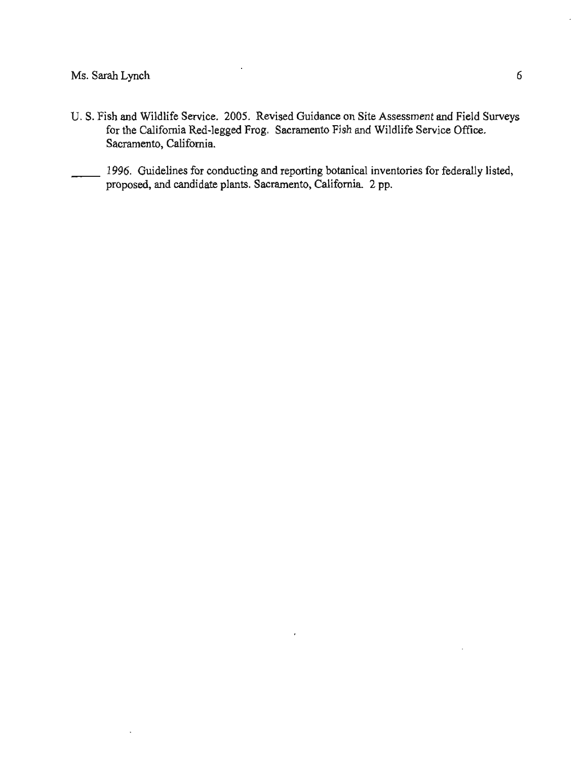- U. S. Fish and Wildlife Service. 2005. Revised Guidance on Site Assessment and Field Surveys for the California Red-legged Frog. Sacramento Fish and Wildlife Service Office. Sacramento, California.
- 1996. Guidelines for conducting and reporting botanical inventories for federally listed, proposed, and candidate plants. Sacramento, California. 2 pp.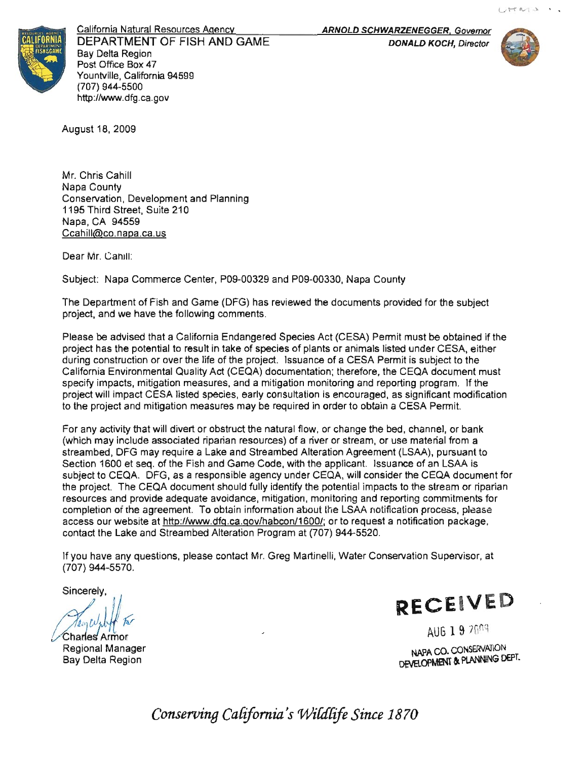

California Natural Resources Agency DEPARTMENT OF FISH AND GAME **Bay Delta Region** Post Office Box 47 Yountville, California 94599 (707) 944-5500 http://www.dfg.ca.gov

ARNOLD SCHWARZENEGGER, Governor

**DONALD KOCH, Director** 



August 18, 2009

Mr. Chris Cahill Napa County Conservation, Development and Planning 1195 Third Street, Suite 210 Napa, CA 94559 la<br>11<br>Da <u>Ccahill@co.napa.ca.us</u><br>Dear Mr. Canill: Bay Sincerely

**i**<br>Iments<br>Jments r. Canill:<br>Dapa Commerce Center, P09-00329 and P09-0033<br>actment of Fish and Game (DEG) has reviewed the d .<br>9resources c<br>co e<br>G

Mapa Commerce Center, P09-00329 and P09-00330, Napa County<br>partment of Fish and Game (DFG) has reviewed the documents provided for the subject<br>and we have the following comments. Department ty<br>vi e<br>En<br>En as<br>ts. ame (DFC<br>ving comm<br>prnia Enda<br>ult in take va<br>rtr<br>ìd

com<br>Commerce<br>Commerce This Entrangeled eposition (CEON) Form must be obtained<br>It in take of species of plants or animals listed under CESA, eith<br>life of the project. Issuance of a CESA Permit is subject to the<br>ty Act (CEQA) documentation; there ic<br>k Finance provided for end of<br>FISA) Permit must be obtainimals listed under CESA species Act (CESA) Permit must be obta<br>is of plants or animals listed under CESA<br>Issuance of a CESA Permit is subject to red in order to obtain a CESA Permit. nt<br>m<br>! ut<br>St<br>pr In a mitigation monitoring and reporting<br>arly consultation is encouraged, as sign<br>av be required in order to obtain a CES the of plants or animals listed<br>Issuance of a CESA Permit<br>Importation: therefore, the C i a mitigation monitoring and reporti<br>arly consultation is encouraged, as<br>ay be required in order to obtain a C i<br>measure<br>ne me<br>J<br>Di will Species Act<br>and Species Act tc<br>; e<br>rc A<br>nie :ur<br>jai<br>≀qı ci<br>do<br>iti o<br>n avoid<br>an<br>a a<br>ng<br>pr date.ca.gov/habcon/11<br>http://www.df<br>abcon/11 Er<br>Falt<br>(( Alter<br>Alter<br>Als s<br>de

ripanan resources) of a river or stream, or use material from a<br>a Lake and Streambed Alteration Agreement (LSAA), pursuant to<br>h and Game Code, with the applicant. Issuance of an LSAA is าท<br>Tip<br>as process, pieas<br>cation package r<br>A ม<br>A<br>dc blefinal impacts to the stream<br>litoring and reporting commitm i,<br>3d nn<br>ar<br>at Species<br>C<br>C d, ch<br>ise m sinuct the natural flow, or change the bed, crition resources) of a river or stream, or use m<br>and Streambed Alteration Agreement (LS,<br>I Game Code, with the applicant. Issuance<br>isible agency under CEQA, will consider the **Agreement (LS)**<br>cant.\_Issuanc<mark>e</mark><br>will consider the n<br>pl<br>jnd ioriitoring and reportin<br>it the LSAA notificatio<br>a.gov/habcon/1600/; or to request a notif<br>a.gov/habcon/1600/; or to request a notif<br>tion Program at (707) 944-5520. is<br>Ist<br>It (example of the order to obtain<br>(ceptive may be required in order to obtain<br>(ceptive may also provide a single proper)<br>(cell also and Streambed Alteration Agreement) r<br>an<br>id<br>ep itik<br>Sa pa<br>d<br>io<br>es ine LSAA no<br>or to reques<br>7) 944-5520. in<br>ee<br>in A<br>qu<br>enco in agency and creating will<br>uld fully identify the potentia<br>ance mitigation monitoring with the ap<br>under CEQ.<br>Intify the pote ', d<br>ve<br>era ith the<br>نظام نظام  $rac{0}{\sqrt{2}}$ ov<br>T<br>tl<br>tl r<br>th<br>,o <u>bl</u><br>t (<br>art ioi<br>i a<br>1 a Ceponsible agency<br>
ent should fully iden<br>
te avoidance, mitiga<br>
To obtain informatio ance, miti<br>n informa<br>a gov/hab lly<br>, n<br><u>,/h</u> and th<br>in<br>in sible a<br><sub>hould fl</sub> o<br>n ati<br>a 18<br><u>1.4</u><br>er م<br>d

، بر<br>li. Wat i<br>Gi e<br>c Sd<br>Conservation n<br>Notes Permit diagonal conservation<br>Serial permitted per serial the reportion of the reportion of the reportion of the reportion of the report of the report of the report of the report of the report of the report of the report of M<br>I r, act Mr.<br>. nelli,<br>' provided<br>Literature<br>Literature (707) 944-5570.

commitments in the commitment of the commitment of the commitment of the commitment of the commitment of the commitment of the commitment of the commitment of the commitment of the commitment of the commitment of the commi

AU **In** APA GO.

Regional Manager - Charles Armor Bay Delta Region

for e<sup>(</sup> CESA, R

AUG 19 2009

NAPA CO. CONSERVATION o<br>ta o. h<br>M

Conserving California's Wildlife Since 1870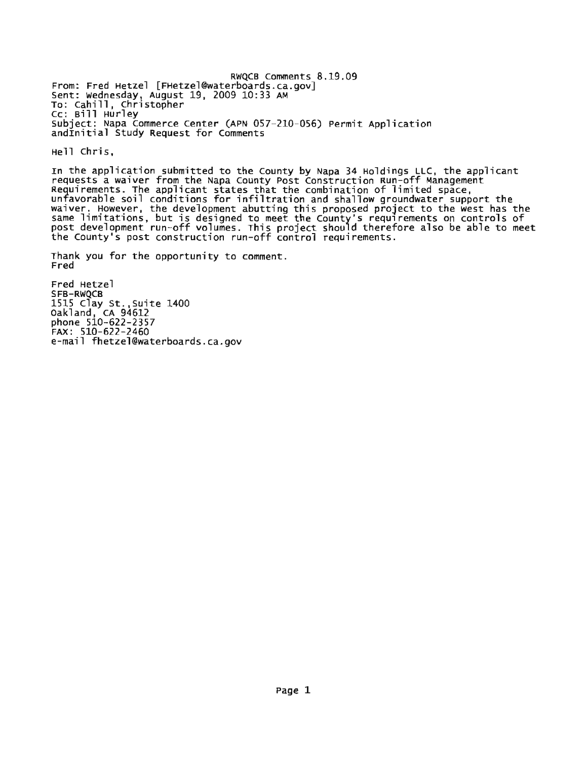RWOCB Comments 8.19.09 From: Fred Hetzel [FHetzel@waterboards.ca.gov] Sent: Wednesday, August 19, 2009 10:33 AM<br>To: Cahill, Christopher Cc: Bill Hurley Subject: Napa Commerce Center (APN 057-210-056) Permit Application andInitial Study Request for Comments

Hell Chris,

In the application submitted to the County by Napa 34 Holdings LLC, the applicant requests a waiver from the Napa County Post Construction Run-off Management<br>Requirements. The applicant states that the combination of limited space,<br>unfavorable soil conditions for infiltration and shallow groundwater sup waiver. However, the development abutting this proposed project to the west has the<br>same limitations, but is designed to meet the County's requirements on controls of<br>post development run-off volumes. This project should t

Thank you for the opportunity to comment. Fred

Fred Hetzel SFB-RWQCB 1515 Clay St., Suite 1400<br>0akland, CA 94612<br>phone 510-622-2357 FAX: 510-622-2460 e-mail fhetzel@waterboards.ca.gov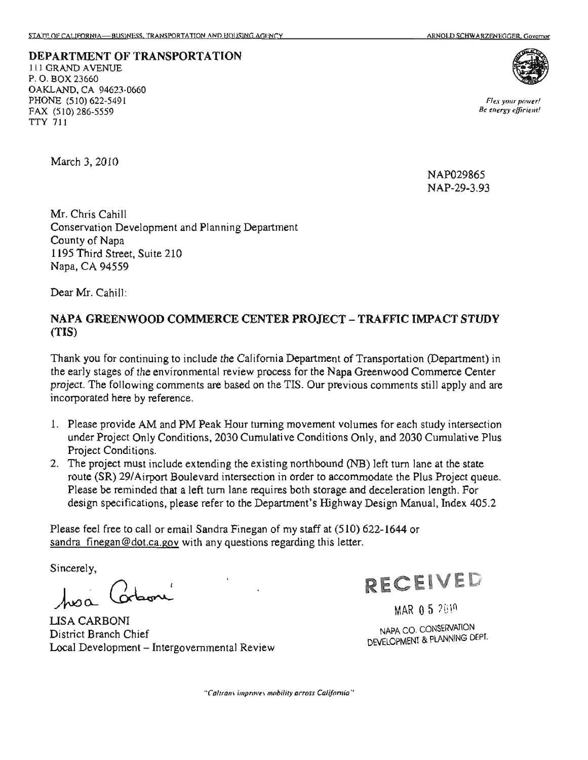**DEPARTMENT OF TRANSPORTATION ILI GRAND AVENUE** P.O. BOX 23660 OAKLAND, CA 94623-0660 PHONE (510) 622-5491 FAX (510) 286-5559 **TTY 711** 



Flex your power! Be energy efficient!

March 3, 2010

NAP029865 NAP-29-3.93

Mr. Chris Cahill elopment and Planning Department<br>Suite 210  $\mathbf{R}^d$ County of Napa<br>1195 Third Street, Suite 210 otr<br>15<br>hi  $\overline{\mathbf{S}}$ Napa, CA 94559

Dear Mr. Cahill:

#### er<br>G specifications,  $\overline{0}$ the following the following the following term in the following term in the following term in the following te<br>Big of the following term in the following term in the following term in the following term in the second term r<br>I must 20 Airport 2014<br>Airport 2014 rc<br>I JECT – TI .<br>E reference. include  $(TIS)$

ep<br>ne<br>a nia Department of Transportal<br>bcess for the Napa Greenwood<br>the TIS. Our previous commer o<br>vo<br>nr n:<br>er apa Oreer<br>revious co ni<mark>a Departmen</mark>t m<br>e i early stages of the environmental review process for the ject. The following comments are based on the TIS. Our proporated here by reference. a I<br>:ss<br>T  $e$  Califo : t<br>I (evaluated, 1: WW completed, 1: District Branch Chief Chief Chief Chief Chief Chief Chief Chief Chief Chief Chief Chief Chief Chief Chief Chief Chief Chief Chief Chief Chief Chief Chief Chief Chief Chief Chief Chief Chief or<br>ges<br>h incorporated here by reference.

- y<br>m ta<br>20 here by reference.<br>ovide AM and PM Peak Hour turning movement volumes for<br>bject Only Conditions, 2030 Cumulative Conditions Only, and  $\frac{1}{2}$  and the movement volumes<br>the turning only, a<br>the conditions Only, ei<br>Cumulative<br>Cu intersection<br>Section  $\mathbf{j}$ 5 Project Conditions.
- n<br>Prog<br>In irr<br>the<br>Department<br>Department fing northbound (NB) left to<br>in in order to accommodate route (SR) 29/Airport Boulevard intersection in order to accommodate<br>Please be reminded that a left turn lane requires both storage and decel m lane requires both storage and decel<br>er to the Department's Highway Desigr<br>Ira Finegan of my staff at (510) 622-16 g the existing northbound (NB) le nc<br>ug<br>zh o<br>Conditions<br>Conditions or<br>TC<br>er n<br>Department<br>Department lin<br>di r<br>!  $\overline{d}$

of Greenwood pes<br>22volumes Only staff at (5<br>Ira Finegan of my staff at (5<br>y questions regarding this letter. lefta<br>a<br>com december 1986 sandra finegan@dot.ca.gov with any questions regarding this letter. u

Manual,

Sincerely,

hoa Corboni<br>LISA CARBONI<br>District Branch Chief

vv<br>.<br>.<br>.go **LISA CARBONI** <sup>iew</sup>



س<br>بر<br>بر MAR 0 5 2019

LOPMENT & PLAN (Department)<br>Nepart  $\mathfrak{g}$ and

"Caltrans improves mobility across California"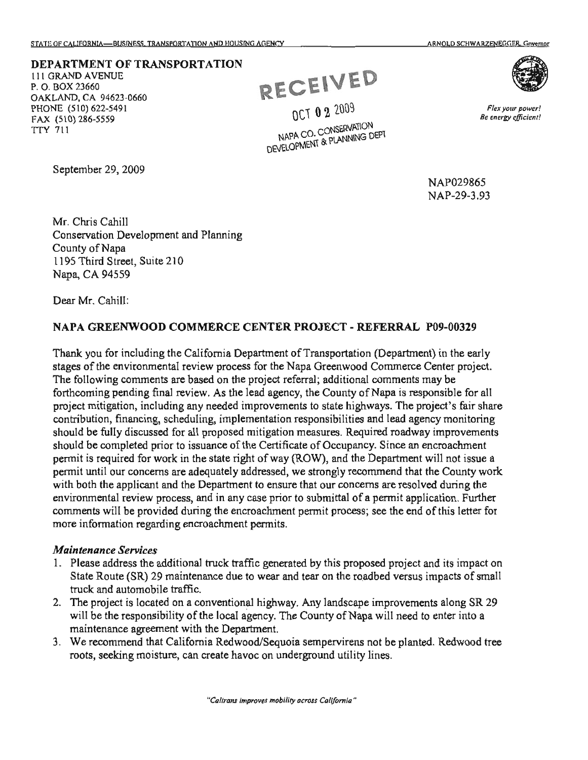### **DEPARTMENT OF TRANSPORTATION**

**111 GRAND AVENUE** P. O. BOX 23660 OAKLAND, CA 94623-0660 PHONE (510) 622-5491 FAX (510) 286-5559 **TTY 711** 

September 29, 2009

RECEIVED

OCT 0 2 2009 NAPA CO. CONSERVATION NAPA CO. CONSERVATION

> NAP029865 NAP-29-3.93

Mr. Chris Cahill ....<br>Development and Planning la<br>I County of Napa Napa<br>I Street, Su  $\ddot{t}$ , will be a more than the contract of the contract of the contract of the contract of the contract of the contract of the contract of the contract of the contract of the contract of the contract of the contract of the contra  $te$  210 re<br>i5<br>ill <sup>p</sup> Napa, CA 94559<br>Dear Mr. Cahill:

#### e<br>B  $\mathbf{A}$ en<br>E comments of the comments of the comment of the content of the content of the content of the content of the content of the content of the content of the content of the content of the content of the content of the content of final - I<br>atio financing, control in the control in the control in the control in the control in the control in the control in the control in the control in the control in the control in the control in the control in the control in the c e. p.<br>Da for work  $\overline{\mathbf{c}}$ er<br>NTE e ce ervice<br>The Services<br>The Services  $\mathbb{C}\mathsf{N}\mathsf{WOOD}$  con  $\mathbf c$ responsib<br>De<br>Deli a<br>List<br>List moisture,

)<br>ay<br>je Cy<br>in<br>il/i ne<br>ed<br>f the are for the area and process to the area and property erd<br>Fr<br>F nt<br>dad<br>ea<br>ne epartme<br>mend th<br>; are res es<br>: a<sub>l</sub><br>: el ortation (Depa<br>nwood Comm<br>litional comm g final review. As the lead agency, the County of Napa<br>including any needed improvements to state highways.<br>ing. scheduling. implementation responsibilities and lea esponsionnes and lea<br>neasures. Required ro<br>te of Occupancy. Sinc tully discussed for all proposed mitigation measures. Required ro<br>completed prior to issuance of the Certificate of Occupancy. Sinc er<br>ni<br>.h additional co<br>County of Na<br>state highway er<br>ee Transportation<br>pa Greenwood (<br>rral additional cy<br>e I<br>or ncerns are adequately addressed, we strongly recom<br>cant and the Department to ensure that our concern<br>ew process, and in any case prior to submittal of a The that our concern<br>The submittal of a<br>Count process;<br>Counter the strongly e<br>Napa hi tie<br>levar<br>th<br>rec im<br>ie l<br>ili<br>s. l<br>cu<br>nd ly<br>cc<br>ta<br>ro mition was made the material proposed mitigation responses<br>hould be fully discussed for all proposed mitigation measure<br>hould be completed prior to issuance of the Certificate of Ocermit<br>is required for work in the state r n<br>u<br>t Required Napa G<br>referral;<br>ncy, the<br>nents to igation, including any needed improvements to<br>n, financing, scheduling, implementation response as<br>of<br>W  $\frac{1}{2}$ ing comments are based on the project refers<br>g pending final review. As the lead agency, suance of the Certificate<br>the state right of way (RC<br>dequately addressed, we<br>experience to ensure the and in any case prior to n<br>on<br>ic s for the<br>the during the during the during the during the during the during the during the during the during the during<br>the during the during the during the during the during the during the during the during the during the ct<br>ge<br>utio permentant<br>to case perfect<br>right of the rt<br>V ss, and in any case pr concerns<br>contra<br>concerns to the contract of the concernion of the concerns of the concerns of the concerns of the concerns of the concerns of the concerns of the concerns of the concerns of the concerns of the concerns of and the the the theorem and the projection o<br>ie<br>icl of ny<br>m<br>he<br>ht and in any c<br>ring the encre<br>croachment e<br>encroachment<br>de ad<br>dit<br>it egarding encr<br>*ices*  $C$ <br>re<br>elev the :h<br>ta  $\overline{\mathbf{r}}$ for including<br>le environme contribution<br>in<br>15. pi<br>vie<br>ard ان<br>سا<br>س of nu<br>)n,<br>dis<br>let California<br>California<br>California Per<br>Ati<br>Iyup<br>Ati ap<br>|<br>|11<br>|<br>|tie ee<br>eq<br>il<br>nt w<br>m יי<br>ת o<br>h e<br>C ท<br>o<br>าง

# not lines.

- nd<br>m )<br>ers<br>ver or<br>v ed<br>e dress the additional truck traffic generated by this propose<br>ite (SR) 29 maintenance due to wear and tear on the road<br>automobile traffic.<br>exit is located on a conventional highway. Any landscape Fic generated by this p<br>to wear and tear on the ed<br>lt .<br>ra: ron regarding of<br>Services<br>dress the addition ت<br>fr s<br>a<br>pil<br>nte
- ts<br>e<br>l. ocated on a conventional highway. Any landscape improver<br>onsibility of the local agency. The County of Napa will nee<br>reement with the Department. (a) 29 maintenance due to wear and tear on the roadbel to<br>bile traffic.<br>boated on a conventional highway. Any landscape im<br>onsibility of the local agency. The County of Napa w re<br>pa ity<br>pe:<br>nd าy<br>m<br>oเ . 11<br>101 sibility of the local agency.<br>ement with the Department. m<br>hig<br>ne e 1<br>Inc<br>!!!
- ens not be pla<br>lity lines. and utility limits of the contract of the contract of the contract of the contract of the contract of the contract of the contract of the contract of the contract of the contract of the contract of the contract of the cont on<br>vii<br>ut is<br>Te I that California Redwood/S<br>noisture, can create havoc o king moisture, can create havo



Flex your power! Be energy efficient!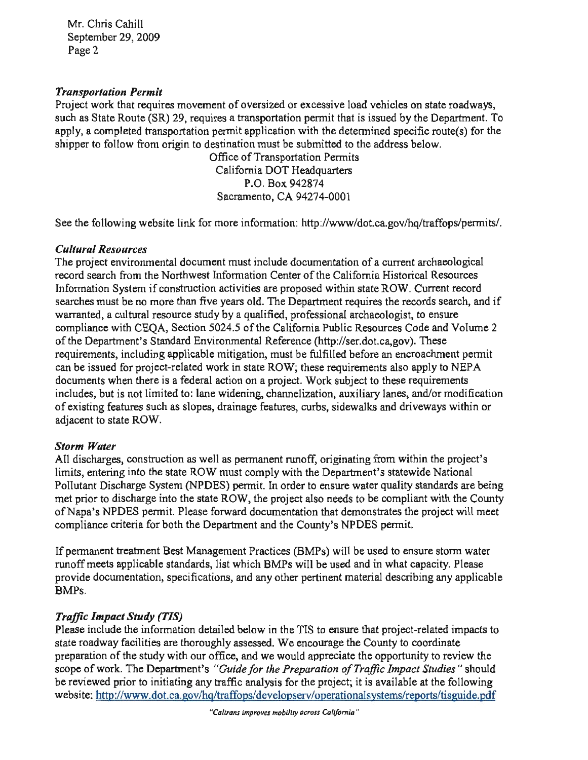Mr. Chris Cahill September 29, 2009 Page 2

# **Transportation Permit**

Project work that requires movement of oversized or excessive load vehicles on state roadways, such as State Route (SR) 29, requires a transportation permit that is issued by the Department. To apply, a completed transportation permit application with the determined specific route(s) for the shipper to follow from origin to destination must be submitted to the address below.

Office of Transportation Permits California DOT Headquarters P.O. Box 942874 Sacramento, CA 94274-0001

of  $\overline{a}$ Storm metIf BMPs. See the following website link for more information; http://www/dot.ca.gov/hq/traffops/permits/.

# **Example 10 November 11**<br>|<br>https://www.communications

 $\int$ : document<br>Externa<br>Externa  $\overline{a}$ ord<br>., and l, a cultural resource study by a qualified, professional archaeologist, to ensure<br>ce with CEQA, Section 5024.5 of the California Public Resources Code and Volume<br>partment's Standard Environmental Reference (http://ser.dot ni<sup>.</sup> ati<br>Or ic:<br>es er<br>P nd<br>ir searches warranted, includes<br>of a current archaeolog ation of a current archaeolo<br>California Historical Resour<br>thin state ROW Current rea be the cords search n re<br>earc<br>ure by). These<br>incroachment<br>to apply to NE<br>e requirement five ROW, these requirements also apply to NE<br>a project. Work subject to these requirement mod<br>s wi d<br>ie ese requirements, and/or m<br>d driveways qualified, ch<br>R ROW. Curre<br>s the records Department requires the records<br>, professional archaeologist, to en<br>lifornia Public Resources Code a an<br>Ca<br>Cu<br>con d<br>T<br>oa PI<br>:41<br>'e' en<br>or<br>v s,<br>dri og<br>ce<br>1,g<br>al d documents<br>Contra Contra Contra Contra Contra Contra Contra Contra Contra Contra Contra Contra Contra Contra Co<br>Contra Contra Contra Contra Contra Contra Contra Contra Contra Contra Contra Contra Contra Contra Contra Contr is lifornia Public Resource n, must be fulfilled before a<br>e ROW, these requirements<br>a project. Work subject to t ROW, these requirements<br>project. Work subject to thannelization, auxiliary latures, curbs, sidewalks a is mation System if construction activities are proposed within stateles must be no more than five years old. The Department required and the prior of a subtract control of the prior of and the prior of and the prior of a sub l Reference (http://ser.do<br>n, must be fulfilled befo unelization, auxilia<br>es, curbs, sidewalk<br>. e<br>if  $\lim_{t \to \infty}$ adjacent <sup>1</sup><br>adjacent time<br>ation of the Napaton <sup>1</sup> e docum<br>nter of t<br>proposed ep<br>construction<br>acc  $, c$ e<br>Pol rch from the Northwest Information Ce<br>on System if construction activities are<br>nust be no more than five years old. Th<br>a cultural resource study by a qualified vith CEQA, Section 5024.5 of the C<br>ment's Standard Environmental Ret atı<br>. to n five years old.<br>
study by a quali<br>
ion 5024.5 of the  $\frac{2}{5}$ nts, including applicable mitigationed for project-related work in state of  $\frac{1}{2}$ for international applicable mittgative issued for project-related work in standard is a federal action of ideas, but is not limited to: lane widening features such as slopes, drainage n<br>m or<br>de<br>un ne<br>st treat<br>treatment<br>5 w<br>al<br>ne<br>es, r<br>cu<br>ve artment's Standard E<br>nts, including applical<br>ued for project-related<br>s when there is a feder slop provide wing weeks in:<br>al Resources<br>piect environmental do do<br>th<br>that<br>ec arc<br>pli<br>ela<br>fe Impact include resources<br>Incord search from the<br>information System Section<br>Studies<br>Study factorized<br>interactions tu<br>1 !<br>ic  $\frac{1}{2}$  reading ai<br>at m<br>**Re**<br>ot DC ISSI<br>Imente er<br>an<br>De<br>m<br>is: s,<br>:ir<br>1t u<br>pi<br>rd to ipl<br>iri ://www.dot.ca.gov/hg/trafforms/developerationalsystems/reports/tisguide.pdf to the pdf of the pdf or the pdf or the pdf or the pdf or the pdf or the pdf or the pdf or the pdf or the pdf or the pdf or the pdf or the pdf or

# icent to<br>rm *Wat*

ng<br>ty<br>t Chenter The must be must<br>Center The must also a must be project.<br>The must be the penature of the materials and project. of the total internal and the total problem.<br>
In order to ensure water quality standards are be<br>
the aroject also needs to be compliant with the Cour quality standards are be<br>compliant with the Coutrates the project will me ne<br>er ec<br>al<br>re state ROW, the project also needs to be compliant with the C<br>ase forward documentation that demonstrates the project will<br>be Department and the County's NPDES permit یں<br>S a<br>Department - r<br>lat<br>ard<br>ith<br>ec t<br>california<br>california<br>california ii<br>id ser.<br>an<br>e p<br>su<br>bin be it<br>.. on<br>ite<br>| to sumentation that demonstr<br>and the County's NPDES produced<br>restings (BMPs) will be used ng<br>en<br>ate<br>b b em<br>Pl ent runo<br>ly with<br>n order net comply with<br>permit. In order<br>OW, the project<br>vard documentation<br>tment and the Co pje<br>en<br>es p<br>n m<br>cc<br>m m Water<br>lischarges, construction as well as p al<br>m .<br>ام into the state ROW<br>arge System (NPD)<br>charge into the stat ie Di be ne<br>th<br>pi pliance criteria for both to en<br>U in<br>sc<br>di<br>Pl ik<br>Tg<br>et utant Di<br>prior to<br>Japa's Nunliance eh<br>Preparation<br>Preparation a<br>ar<br>M رکنا<br>خت

le e<br>Cal criteria for both the Department and the County's NPDES permit.<br>It reatment Best Management Practices (BMPs) will be used to ensure storm was applicable standards, list which BMPs will be used and in what capacity. Plear ranagement in actives (BIVIT s) will be used to ensure stem was<br>ards, list which BMPs will be used and in what capacity. Pleas g any ap to:<br>ty.<br>iny e :<br>ic en<br>en vr<br>le require<br>ut <mark>j</mark>  $\alpha$  pertinent ma Ps<br>he h BM<br>h BM<br>any c standards de<br>en<br>ite the permit of the permit.<br>And architection and permitted and the permitted and the permitted and the permitted and the permitted and the<br>description of the permitted and the permitted and the permitted and the permitted an ensure<br>England<br>England project<br>project<br>CS to ieri<br>bet<br>oc m<br>e c err<br>fic<br>... BMPs.

## i) rc<br>le g<br>String  $\overline{a}$

 $\frac{1}{2}$ ensure ts<br>.  $\frac{1}{\sqrt{\frac{1}{\sqrt{\frac{1}{\sqrt{\frac{1}{\sqrt{\frac{1}{\sqrt{\frac{1}{\sqrt{\frac{1}{\sqrt{\frac{1}{\sqrt{\frac{1}{\sqrt{\frac{1}{\sqrt{\frac{1}{\sqrt{\frac{1}{\sqrt{\frac{1}{\sqrt{\frac{1}{\sqrt{\frac{1}{\sqrt{\frac{1}{\sqrt{\frac{1}{\sqrt{\frac{1}{\sqrt{\frac{1}{\sqrt{\frac{1}{\sqrt{\frac{1}{\sqrt{\frac{1}{\sqrt{\frac{1}{\sqrt{\frac{1}{\sqrt{\frac{1}{\sqrt{\frac{1}{\sqrt{\frac{1}{\sqrt{\sqrt{1\cdot\frac{1}{\sqrt{\sqrt{1\cdot\frac{1}{\sqrt{\sqrt{1\$ et<br>. m<br>. ffic Imp<br>use inclue<br>paration th  $C$ <br>here TIS to ensure that project-relat<br>encourage the County to coord<br>and appreciate the opportunity to the<br>ac<br>the a tion detailed below in the TIS to ensure that project thoroughly assessed. We encourage the County to the our office, and we would appreciate the opportument's "Guide for the Preparation of Traffic Imparties adway facilities are thoroughly assessed. We encourage the County to coordinate<br>the of the study with our office, and we would appreciate the opportunity to revise<br>of work. The Department's "Guide for the Preparation of Tr actities are inoroughly assessed. We encourage the County to coordinate<br>he study with our office, and we would appreciate the opportunity to revio<br>The Department's "Guide for the Preparation of Traffic Impact Studies" be reviewed prior to initiating any traffic analysis for the project; it is available at the following website: http://www.dot.ca.gov/hq/traffops/developserv/operationalsystems/reports/tisguide.pdf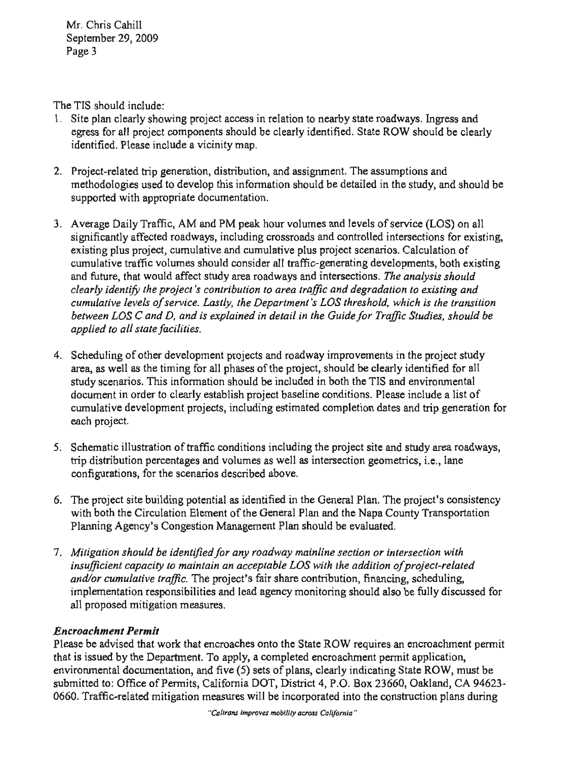Mr. Chris Cahill September 29, 2009 Page 3

The TIS should include:

- 1. Site plan clearly showing project access in relation to nearby state roadways. Ingress and egress for all project components should be clearly identified. State ROW should be clearly identified. Please include a vicinity map.
- 2. Project-related trip generation, distribution, and assignment. The assumptions and methodologies used to develop this information should be detailed in the study, and should be supported with appropriate documentation.
- e<br>C and future, which is the transition wouldnd cumulative plus project scenarios. Calculation of consider all traffic-generating developments, both existing and intersections. The analysis should bution to area traffic and degradation to existing and ative traffic volumes should consider all traffic-generating developments, both exiture, that would affect study area roadways and intersections. The analysis should  $y$  identify the project's contribution to area traffic ative levels of service. Lastly, the Department's LOS threshold, which is the transi<br>in LOS C and D, and is explained in detail in the Guide for Traffic Studies, should<br>d to all state facilities. c<br>h<br>cumulative<br>cumulative and 'ie<br>ifi example pairly traine, that and i to peak hour vertifies and tovers of service<br>cantly affected roadways, including crossroads and controlled inters<br>g plus project, cumulative and cumulative plus project scenarios. g plus project, cumulative and cumulative plus project scenarios<br>ative traffic volumes should consider all traffic-generating devel-<br>ture, that would affect study area roadways and intersections. The<br>identify the project's and future, that would affect study area roadways and intersections. The .<br>de<br>r er<br>3<br>-.. ite died indijfte dita deg.<br>Department's LOS thresh s<br>tir<br>*de* hri<br>de<br>m  $\begin{bmatrix} 1 & 1 \\ 1 & 1 \end{bmatrix}$ is<br>th  $\begin{array}{c} \n\mathbf{a} \\
\mathbf{b} \\
\mathbf{c} \\
\mathbf{c} \\
\mathbf{d} \\
\mathbf{c} \\
\mathbf{d} \\
\mathbf{c} \\
\mathbf{c} \\
\mathbf{c} \\
\mathbf{c} \\
\mathbf{c} \\
\mathbf{c} \\
\mathbf{c} \\
\mathbf{c} \\
\mathbf{c} \\
\mathbf{c} \\
\mathbf{c} \\
\mathbf{c} \\
\mathbf{c} \\
\mathbf{c} \\
\mathbf{c} \\
\mathbf{c} \\
\mathbf{c} \\
\mathbf{c} \\
\mathbf{c} \\
\mathbf{c} \\
\mathbf{c} \\
\mathbf{c} \\
\mathbf{c} \\
\$ ve<br>l ti<br>red<br>tim learly identify the project's contributic<br>umulative levels of service. Lastly, the<br>etween LOS C and D, and is explainea ea<br>ec insifications<br>interactions<br>interactions i<br>ec<br>u<br>u , c<br>blu<br>*rose*<br>C دن<br>a<br>http:<br>ijf ative<br>ture, works and the control of the control of the control of the control of the control of the control of the control of the control of the control of the control of the control of the control of the control of the control of th en<br>ifisti<br>in nu<br>we<br>ued s<br>ig<br>u  $\overline{D}$ 3. Average Daily Traffic, AM and PM peak hour volumes and levels of service (LOS) on all
- Please include a list of<br>dates and trip generation fo  $\frac{1}{2}$ and environmental<br>ase include a list of provided to all state facilities.<br>applied to all state facilities.<br>Permits of other development projects and roadway improvements in the project students. ect stud<br>d for al al<br>o<br>at: .<br>เล is nt<br>vide<br>ei forment projects and roadway improvements<br>ing for all phases of the project, should be clearly<br>formation should be included in both the TIS as en<br>le<br>IS<br>Pl e<br>is.<br>or es of the project, should<br>uld be included in both the<br>project baseline condition clearly establish project baseline condition<br>nent projects, including estimated complet<br> $\frac{1}{2}$ ne<br>ed p.<br>ad<br>ni rc<br>p<br>cl d<br>ti ore<br>ha<br>sho isl<br>in<br>nd ne<br>: a<br>es: p<br>fc<br>. ument in order to clearly responsibilit<br>de<br>sponsibilities e<br>-<br>-با<br>e na<br>tie<br>ec d<br>ul:<br>us ممبر<br>Iy sc اتا<br>at: each project. tu<br>Lo<br>Lo
- s, va<sub>.</sub> to  $\overline{a}$ tra<br>fa ro<br>ne ea<br>la  $nd s$ required baseline intersection geometric<br>intersection geometric the project site<br>ing the project site estimate<br>io c illustration of traffic conditions includin<br>bution percentages and volumes as well a above.<br>The above the plane of the Plane of Plane of the Plane of the Plane of the Plane of the Plane of the Plane of <br> $\sim$ .<br>15 nojec<br>raffic<br>es an ะง<br>ท<mark>อ</mark> Fair project.<br>Schematic illustration of<br>trip distribution percentas  $t_1$ Schemat<br>rip district<br>configur pd<br>ifi incorporated
- $xy$ en<br>on and Guide School Plan. The project's consistent<br>an and the Napa County Transportation<br>hould be evaluated. ת<br>^\* the project site building potential as identified in the General Plan. The project's contained with 4, and show that 4, and 4, and 4, and 4, and 4, and 4, and 4, and 4, and 4, and 4, and 4, and 4, and 4, and 4, and 4, and rp<br>un<br>rat<br>1 la<br>Ja<br>alt al<br>ne<br>ex it<br>P<br>Ls configurations, for the scenarios described<br>The project site building potential as ident<br>with both the Circulation Element of the G ment ot th<br>on Manage io<br>m sco<br>g<br>ngo Planning Agency's Co oj<br>ot<br>ng
- ior<br>. fair share contribution, financing, scheduling,<br>l agency monitoring should also be fully discussed ed existing nning Agency's Congestion Management Plan should be evaluated.<br>tigation should be identified for any roadway mainline section or intersection with<br>ufficient canceity to maintain an acceptable LOS with the addition of proje yficient capacity to maintain an acceptable EOS with the addition of project-retail<br>Vor cumulative traffic. The project's fair share contribution, financing, scheduling by roadway mainline section or intersection w<br>cceptable LOS with the addition of project-re<br>t's fair share contribution, financing, scheduli iden<br>Ise en<br>ire  $m<sub>0</sub>$ <br>ecom na<br>a ai<br>e<br>ur  $T$ <br>iliea ler<br>m<br>fr implementation responsibility of the series of the process of the process of the reader of the reader of the reader of the reader of the reader of the reader of the reader of the reader of the reader of the reader of the r Mitigation should be i<br>insufficient capacity to<br>and/or cumulative trat plementation resport<br>proposed mitigation  $\frac{1}{2}$ <br>sence me<br>ppe<br>**i***m* construction

# Encro

r<br>ne:<br>y,  $\frac{1}{2}$ / requires an encroach<br>hment permit applicat order that<br>the advised that work that encroaches onto the State ROW requires an encroachment per Consider<br>Consider ne<br>nd ichment Permit<br>be advised that work that encroaches onto the State<br>ssued by the Department. To apply, a completed e<br>unental documentation, and five (5) sets of plans, ni<br>. 'lease<br>hat is<br>nviro tation, and five  $(5)$  sets of plans, clearly in 0660. Traffic-related mitigation measures will be incorporated into the construction plans during